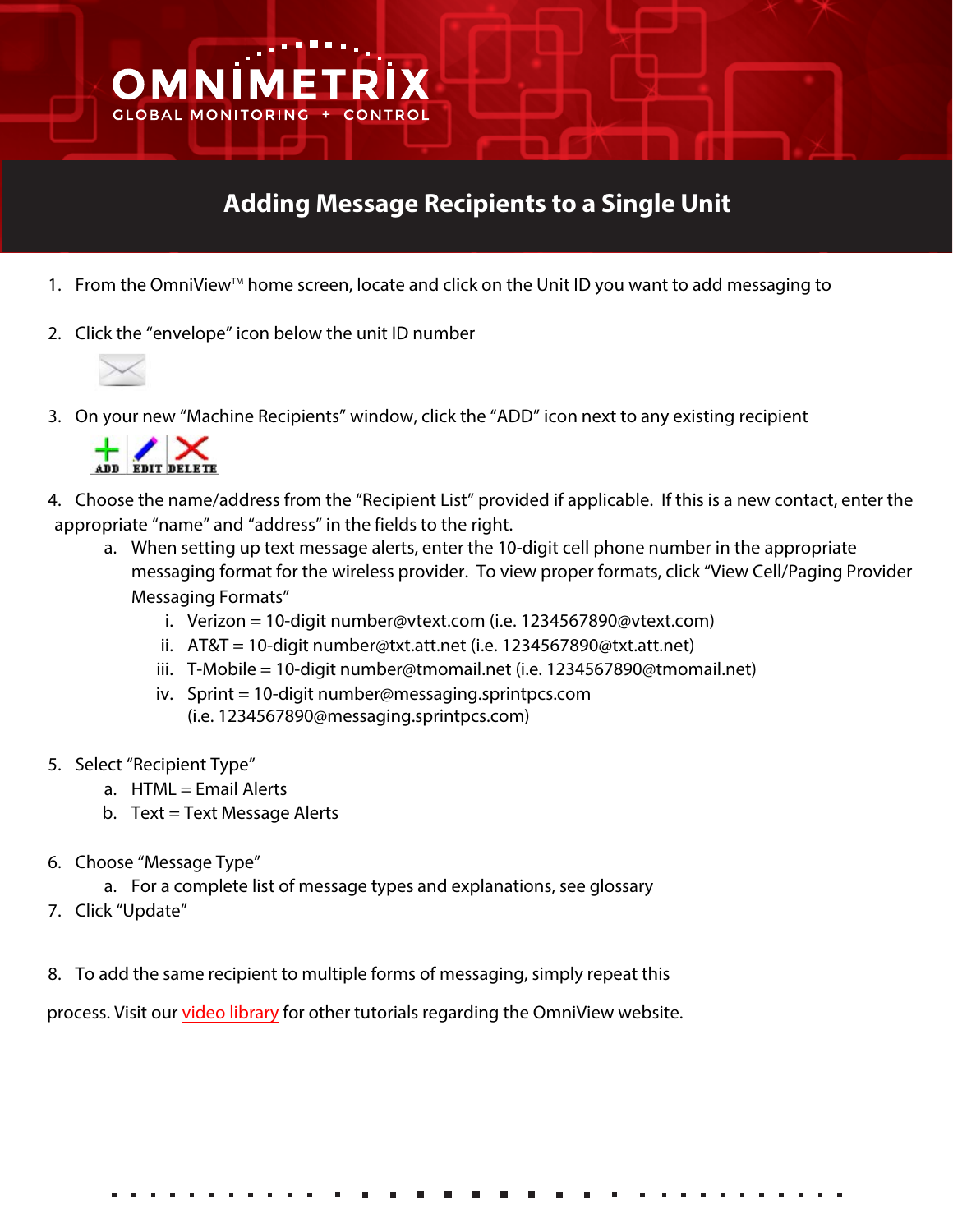## **Adding Message Recipients to a Single Unit**

- 1. From the OmniView<sup>™</sup> home screen, locate and click on the Unit ID you want to add messaging to
- 2. Click the "envelope" icon below the unit ID number



3. On your new "Machine Recipients" window, click the "ADD" icon next to any existing recipient



OMNİ

**GLOBAL MONITOR** 

- 4. Choose the name/address from the "Recipient List" provided if applicable. If this is a new contact, enter the appropriate "name" and "address" in the fields to the right.
	- a. When setting up text message alerts, enter the 10-digit cell phone number in the appropriate messaging format for the wireless provider. To view proper formats, click "View Cell/Paging Provider Messaging Formats"
		- i. Verizon = 10-digit number@vtext.com (i.e. 1234567890@vtext.com)
		- ii. AT&T = 10-digit number@txt.att.net (i.e. 1234567890@txt.att.net)
		- iii. T-Mobile = 10-digit number@tmomail.net (i.e. 1234567890@tmomail.net)
		- iv. Sprint = 10-digit number@messaging.sprintpcs.com (i.e. 1234567890@messaging.sprintpcs.com)
- 5. Select "Recipient Type"
	- $a.$  HTML = Email Alerts
	- b.  $Text = Text Message Alex$
- 6. Choose "Message Type"
	- a. For a complete list of message types and explanations, see glossary
- 7. Click "Update"
- 8. To add the same recipient to multiple forms of messaging, simply repeat this

process. Visit our [video library](https://webdata.omnimetrix.net/omxphp/landingpage/index.php) for other tutorials regarding the OmniView website.